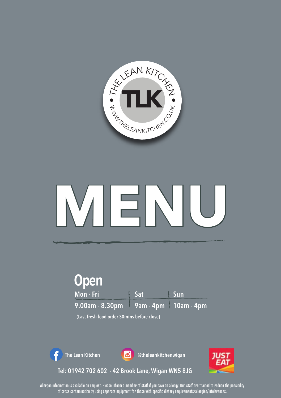

# **MENU**

## Open

| Mon - Fri                                                           | ∣ Sat | ∣ Sun |
|---------------------------------------------------------------------|-------|-------|
| 9.00am - 8.30pm<br>9.00am - 8.30pm<br>9.01 - 4pm · 4pm · 10am - 4pm |       |       |

(Last fresh food order 30mins before close)

f



The Lean Kitchen **& Constantinent** Detheleankitchenwigan



Tel: 01942 702 602 - 42 Brook Lane, Wigan WN5 8JG

are trained to be as consistent as possible with portion sizes. Allergen information is available on request. Please inform a member of sta if you have an allergy. Our sta are trained to reduce the possibility of cross contamination by using separate equipment for those with specific dietary requirements/allergies/intolerances.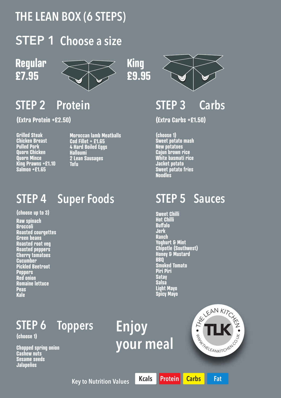## THE LEAN BOX (6 STEPS)

## STEP 1 Choose a size

## **Regular £7.95**



**King £9.95**

STEP 2 Protein

**(Extra Protein +£2.50) (Extra Carbs +£1.50)** 

**Grilled Steak Chicken Breast Pulled Pork Quorn Chicken Quorn Mince King Prawns +£1.10 Salmon +£1.65**

**Moroccan lamb Meatballs Cod Fillet + £1.65 4 Hard Boiled Eggs Halloumi 2 Lean Sausages Tofu**

## STEP 4 Super Foods

**(choose up to 3)** 

**Raw spinach Broccoli Roasted courgettes Green beans Roasted root veg Roasted peppers Cherry tomatoes Cucumber Pickled Beetroot Peppers Red onion Romaine lettuce Peas Kale**

### STEP 6 Toppers **(choose 1)**

**Chopped spring onion Cashew nuts Sesame seeds Jalapeños**

# Enjoy your meal





## STEP 3 Carbs

**(choose 1) Sweet potato mash New potatoes Cajun brown rice White basmati rice Jacket potato Sweet potato fries Noodles**

## STEP 5 Sauces

**Sweet Chilli Hot Chilli Buffalo Jerk Ranch Yoghurt & Mint Chipotle (Southwest) Honey & Mustard BBQ Smoked Tomato Piri Piri Satay Salsa Light Mayo Spicy Mayo**

Kcals Protein Carbs Fat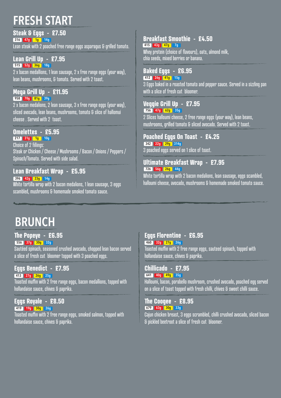## FRESH START

**Steak & Eggs - £7.50** 316 47g 1g 14g

Lean steak with 2 poached free range eggs asparagus & grilled tomato.

#### **Lean Grill Up - £7.95** 515 <mark>| 52g | 36g |</mark> 18g

2 x bacon medallions, 1 lean sausage, 2 x free range eggs (your way), lean beans, mushrooms, & tomato. Served with 2 toast.

#### **Mega Grill Up - £11.95** 958 70g 81g 39g

2 x bacon medalions, 2 lean sausage, 3 x free range eggs (your way), sliced avocado, lean beans, mushrooms, tomato & slice of hallomui cheese . Served with 2 toast.

#### **Omelettes - £5.95** 217 31g 1g 10g

 $\overline{\text{Choice of 2}}$  fillings: Steak or Chicken / Cheese / Mushrooms / Bacon / Onions / Peppers / Spinach/Tomato. Served with side salad.

#### **Lean Breakfast Wrap - £5.95**

#### 396 42g 23g 14g

White tortilla wrap with 2 bacon medalions, 1 lean sausage, 3 eggs scambled, mushrooms & homemade smoked tomato sauce.

#### **Breakfast Smoothie - £4.50** 415 43g 47g 7g

Whey protein (choice of flavours), oats, almond milk, chia seeds, mixed berries or banana.

#### **Baked Eggs - £6.95**

412 26g 41g 15g

3 Eggs baked in a roasted tomato and pepper sauce. Served in a sizzling pan with a slice of fresh cut bloomer.

#### **Veggie Grill Up - £7.95** 756 <mark>| 47g | 62g |</mark> 35g

2 Slices halloumi cheese, 2 free range eggs (your way), lean beans, mushrooms, grilled tomato & sliced avocado. Served with 2 toast.

#### **Poached Eggs On Toast - £4.25**

3 poached eggs served on 1 slice of toast. 342 22g 29g 314g

#### **Ultimate Breakfast Wrap - £7.95** 726 56g 26g 44g

White tortilla wrap with 2 bacon medalions, lean sausage, eggs scambled, halloumi cheese, avocado, mushrooms & homemade smoked tomato sauce.

## **BRUNCH**

**e Popeye - £6.95** 556 37g 30g 32g

Sautéed spinach, seasoned crushed avocado, chopped lean bacon served a slice of fresh cut bloomer topped with 3 poached eggs.

#### **Eggs Benedict - £7.95**

#### 413 27g 26g 25g

Toasted muffin with 2 free range eggs, bacon medall<u>ions, topped with </u> hollandaise sauce, chives & paprika.

#### **Eggs Royale - £8.50** Toasted muffin with 2 free range eggs, smoked salmon, topped with hollandaise sauce, chives & paprika. 419 19g 30g 26g

#### **Eggs Florentine - £6.95** 460 32g 27g 26g

Toasted muffin with 2 free range eggs, sauteed spinach, topped with hollandaise sauce, chives & paprika.

#### **Chillicado - £7.95** 641 40g 49g 35g

Halloumi, bacon, porabello mushroom, crushed avocado, poached egg served on a slice of toast topped with fresh chilli, chives & sweet chilli sauce.

#### **e Coogee - £8.95** 679 63g 30g 33g

Cajun chicken breast, 3 eggs scrambled, chilli crushed avocado, sliced bacon & pickled beetroot a slice of fresh cut bloomer.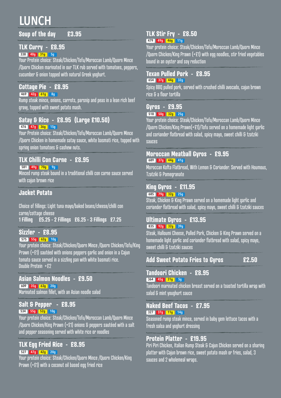## LUNCH

**Soup of the day £3.95**

#### **TLK Curry - £8.95**

#### **338 40g 31g 5g**

Your Protein choice: Steak/Chicken/Tofu/Moroccan Lamb/Quorn Mince /Quorn Chicken marinated in our TLK rub served with tomatoes, peppers, cucumber & onion topped with natural Greek yoghurt.

#### **Cottage Pie - £8.95**

#### 469 42g 61g 8g

Rump steak mince, onions, carrots, parsnip and peas in a lean rich beef gravy, topped with sweet potato mash.

#### **Satay & Rice - £8.95 (Large £10.50)** 476 47g 36g 15g

Your Protein choice: Steak/Chicken/Tofu/Moroccan Lamb/Quorn Mince /Quorn Chicken in homemade satay sauce, white basmati rice, topped with spring onion tomatoes & cashew nuts.

#### **TLK Chilli Con Carne - £8.95**

#### 581 49g 70g 9g

Minced rump steak bound in a traditional chilli con carne sauce served with cajun brown rice

#### **Jacket Potato**

Choice of fillings: Light tuna mayo/baked beans/cheese/chilli con carne/cottage cheese **1 Filling £5.25 - 2 Fillings £6.25 - 3 Fillings £7.25**

#### **Sizzler - £8.95** 575 55g 62g 10g

Your protein choice: Steak/Chicken/Quorn Mince /Quorn Chicken/Tofu/King Prawn (+£1) sautéed with onions peppers garlic and onion in a Cajun tomato sauce served in a sizzling pan with white basmati rice. Double Protein +£2

#### **Asian Salmon Noodles - £9.50**

<mark>1 609 | 35g | 63g |</mark> 20g<br>Marinated salmon fillet, with an Asian noodle salad

#### **Salt & Pepper - £8.95** 534 55g 52g 10g

Your protein choice: Steak/Chicken/Tofu/Moroccan Lamb/Quorn Mince /Quorn Chicken/King Prawn (+£1) onions & peppers sautéed with a salt and pepper seasoning served with white rice or noodles

#### **TLK Egg Fried Rice - £8.95**

1<mark>527 | 47g | 42g |</mark> 20g |<br>Your protein choice: Steak/Chicken/Quorn Mince /Quorn Chicken/King Prawn (+£1) with a coconut oil based egg fried rice

#### **TLK Stir Fry - £8.50** 479 49g 46g 11g

Your protein choice: Steak/Chicken/Tofu/Moroccan Lamb/Quorn Mince /Quorn Chicken/King Prawn (+£1) with egg noodles, stir fried vegetables bound in an oyster and soy reduction

#### **Texan Pulled Pork - £8.95** 654 37g 44g 32g

Spicy BBQ pulled pork, served with crushed chilli avocado, cajun brown rice & a flour tortilla

#### **Gyros - £9.95** 518 50g 32g 25g

Your protein choice: Steak/Chicken/Tofu/Moroccan Lamb/Quorn Mince /Quorn Chicken/King Prawn(+£1)/Tofu served on a homemade light garlic and coriander flatbread with salad, spicy mayo, sweet chilli & tzatziki sauces

#### **Moroccan Meatball Gyros - £9.95** 689 37g 44g 41g

Moroccan Kofta Flatbread, With Lemon & Coriander, Served with Houmous, Tzatziki & Pomegranate

#### **King Gyros - £11.95**

#### 685 79g 32g 25g

Steak, Chicken & King Prawn served on a homemade light garlic and coriander flatbread with salad, spicy mayo, sweet chilli & tzatziki sauces

#### **Ultimate Gyros - £13.95** 835 92g 32g 39g

Steak, Halloumi Cheese, Pulled Pork, Chicken & King Prawn served on a homemade light garlic and coriander flatbread with salad, spicy mayo, sweet chilli & tzatziki sauces

**Add Sweet Potato Fries to Gyros £2.50**

#### **Tandoori Chicken - £8.95** 364 45g 31g 5g

Tandoori marinated chicken breast served on a toasted tortilla wrap with salad & mint youghurt sauce

#### **Naked Beef Tacos - £7.95** 327 37g 11g 14g

Seasoned rump steak mince, served in baby gem lettuce tacos with a fresh salsa and yoghurt dressing

#### **Protein Platter - £19.95**

Piri Piri Chicken, Italian Rump Steak & Cajun Chicken served on a sharing platter with Cajun brown rice, sweet potato mash or fries, salad, 3 sauces and 2 wholemeal wraps.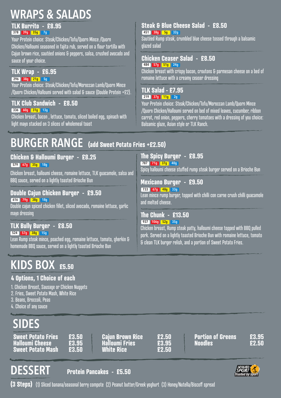## WRAPS & SALADS

#### 378 39g 35g 7g **TLK Burrito - £8.95**

Your Protein choice: Steak/Chicken/Tofu/Quorn Mince /Quorn Chicken/Halloumi seasoned in fajita rub, served on a flour tortilla with Cajun brown rice, sautéed onions & peppers, salsa, crushed avocado and sauce of your choice.

## **TLK Wrap - £6.95**

**296 | 38g | 21g | 5g |**<br>Your Protein choice: Steak/Chicken/Tofu/Moroccan Lamb/Quorn Mince | /Quorn Chicken/Halloumi served with salad & sauce (Double Protein +£2).

#### **TLK Club Sandwich - £8.50** 336 60g 31g 13g

Chicken breast, bacon , lettuce, tomato, sliced boiled egg, spinach with light mayo stacked on 3 slices of wholemeal toast

## **Steak & Blue Cheese Salad - £8.50**

451 38g 5g 32g

Sautéed Rump steak, crumbled blue cheese tossed through a balsamic glazed salad

#### **Chicken Ceaser Salad - £8.50** 484 57g 51g 24g

Chicken breast with crispy bacon, croutons & parmesan cheese on a bed of romaine lettuce with a creamy ceaser dressing

#### **TLK Salad - £7.95 219 37g 11g 2g**

Your Protein choice: Steak/Chicken/Tofu/Moroccan Lamb/Quorn Mince /Quorn Chicken/Halloumi served on bed of mixed leaves, cucumber, ribbon carrot, red onion, peppers, cherry tomatoes with a dressing of you choice: Balsamic glaze, Asian style or TLK Ranch.

## BURGER RANGE **(add Sweet Potato Fries +£2.50)**

**Chicken & Halloumi Burger - £8.25** 579 67g 35g 18g

Chicken breast, halloumi cheese, romaine lettuce, TLK guacamole, salsa and BBQ sauce, served on a lightly toasted Brioche Bun

#### **Double Cajun Chicken Burger - £9.50** 616 79g 38g 18g

Double caiun spiced chicken fillet, sliced avocado, romaine lettuce, garlic mayo dressing

#### **TLK Bully Burger - £8.50**

1524 | <mark>157g | 38g | 15g |</mark><br>Lean Rump steak mince, poached egg, romaine lettuce, tomato, gherkin & homemade BBQ sauce, served on a lightly toasted Brioche Bun

## KIDS BOX **£5.50**

#### **4 Options, 1 Choice of each**

- 1. Chicken Breast, Sausage or Chicken Nuggets
- 2. Fries, Sweet Potato Mash, White Rice
- 3. Beans, Broccoli, Peas
- 4. Choice of any sauce

## SIDES

**Sweet Potato Fries £3.50 Halloumi Cheese £3.95 Sweet Potato Mash** 

**Cajun Brown Rice £2.50 Halloumi Fries £3.95 White Rice** 

**Portion of Greens £3.95**  $N$ oodles

DESSERT **Protein Pancakes - £5.50**



**(3 Steps)** (1) Sliced banana/seasonal berry compote (2) Peanut butter/Greek yoghurt (3) Honey/Nutella/Biscoff spread

#### Spicy halloumi cheese stuffed rump steak burger served on a Brioche Bun **Mexicano Burger - £9.50** 787 71g 37g 40g

**e Spicy Burger - £8.95**

733 67g 48g 33g

Lean mince rump burger, topped with chilli con carne crush chilli guacamole and melted cheese.

#### **e Chunk - £13.50** 937 106g 52g 35g

Chicken breast, Rump steak patty, halloumi cheese topped with BBQ pulled pork. Served on a lightly toasted Brioche Bun with romaine lettuce, tomato & clean TLK burger relish, and a portion of Sweet Potato Fries.